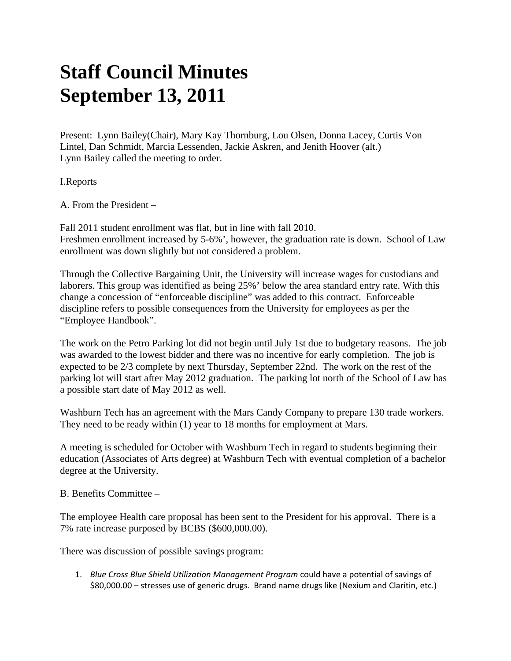## **Staff Council Minutes September 13, 2011**

Present: Lynn Bailey(Chair), Mary Kay Thornburg, Lou Olsen, Donna Lacey, Curtis Von Lintel, Dan Schmidt, Marcia Lessenden, Jackie Askren, and Jenith Hoover (alt.) Lynn Bailey called the meeting to order.

I.Reports

A. From the President –

Fall 2011 student enrollment was flat, but in line with fall 2010. Freshmen enrollment increased by 5-6%', however, the graduation rate is down. School of Law enrollment was down slightly but not considered a problem.

Through the Collective Bargaining Unit, the University will increase wages for custodians and laborers. This group was identified as being 25%' below the area standard entry rate. With this change a concession of "enforceable discipline" was added to this contract. Enforceable discipline refers to possible consequences from the University for employees as per the "Employee Handbook".

The work on the Petro Parking lot did not begin until July 1st due to budgetary reasons. The job was awarded to the lowest bidder and there was no incentive for early completion. The job is expected to be 2/3 complete by next Thursday, September 22nd. The work on the rest of the parking lot will start after May 2012 graduation. The parking lot north of the School of Law has a possible start date of May 2012 as well.

Washburn Tech has an agreement with the Mars Candy Company to prepare 130 trade workers. They need to be ready within (1) year to 18 months for employment at Mars.

A meeting is scheduled for October with Washburn Tech in regard to students beginning their education (Associates of Arts degree) at Washburn Tech with eventual completion of a bachelor degree at the University.

B. Benefits Committee –

The employee Health care proposal has been sent to the President for his approval. There is a 7% rate increase purposed by BCBS (\$600,000.00).

There was discussion of possible savings program:

1. *Blue Cross Blue Shield Utilization Management Program* could have a potential of savings of \$80,000.00 – stresses use of generic drugs. Brand name drugs like (Nexium and Claritin, etc.)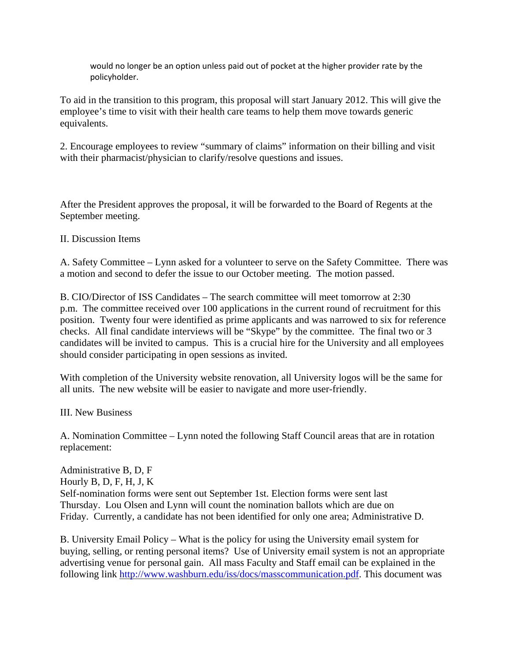would no longer be an option unless paid out of pocket at the higher provider rate by the policyholder.

To aid in the transition to this program, this proposal will start January 2012. This will give the employee's time to visit with their health care teams to help them move towards generic equivalents.

2. Encourage employees to review "summary of claims" information on their billing and visit with their pharmacist/physician to clarify/resolve questions and issues.

After the President approves the proposal, it will be forwarded to the Board of Regents at the September meeting.

II. Discussion Items

A. Safety Committee – Lynn asked for a volunteer to serve on the Safety Committee. There was a motion and second to defer the issue to our October meeting. The motion passed.

B. CIO/Director of ISS Candidates – The search committee will meet tomorrow at 2:30 p.m. The committee received over 100 applications in the current round of recruitment for this position. Twenty four were identified as prime applicants and was narrowed to six for reference checks. All final candidate interviews will be "Skype" by the committee. The final two or 3 candidates will be invited to campus. This is a crucial hire for the University and all employees should consider participating in open sessions as invited.

With completion of the University website renovation, all University logos will be the same for all units. The new website will be easier to navigate and more user-friendly.

III. New Business

A. Nomination Committee – Lynn noted the following Staff Council areas that are in rotation replacement:

Administrative B, D, F Hourly B, D, F, H, J, K Self-nomination forms were sent out September 1st. Election forms were sent last Thursday. Lou Olsen and Lynn will count the nomination ballots which are due on Friday. Currently, a candidate has not been identified for only one area; Administrative D.

B. University Email Policy – What is the policy for using the University email system for buying, selling, or renting personal items? Use of University email system is not an appropriate advertising venue for personal gain. All mass Faculty and Staff email can be explained in the following link http://www.washburn.edu/iss/docs/masscommunication.pdf. This document was